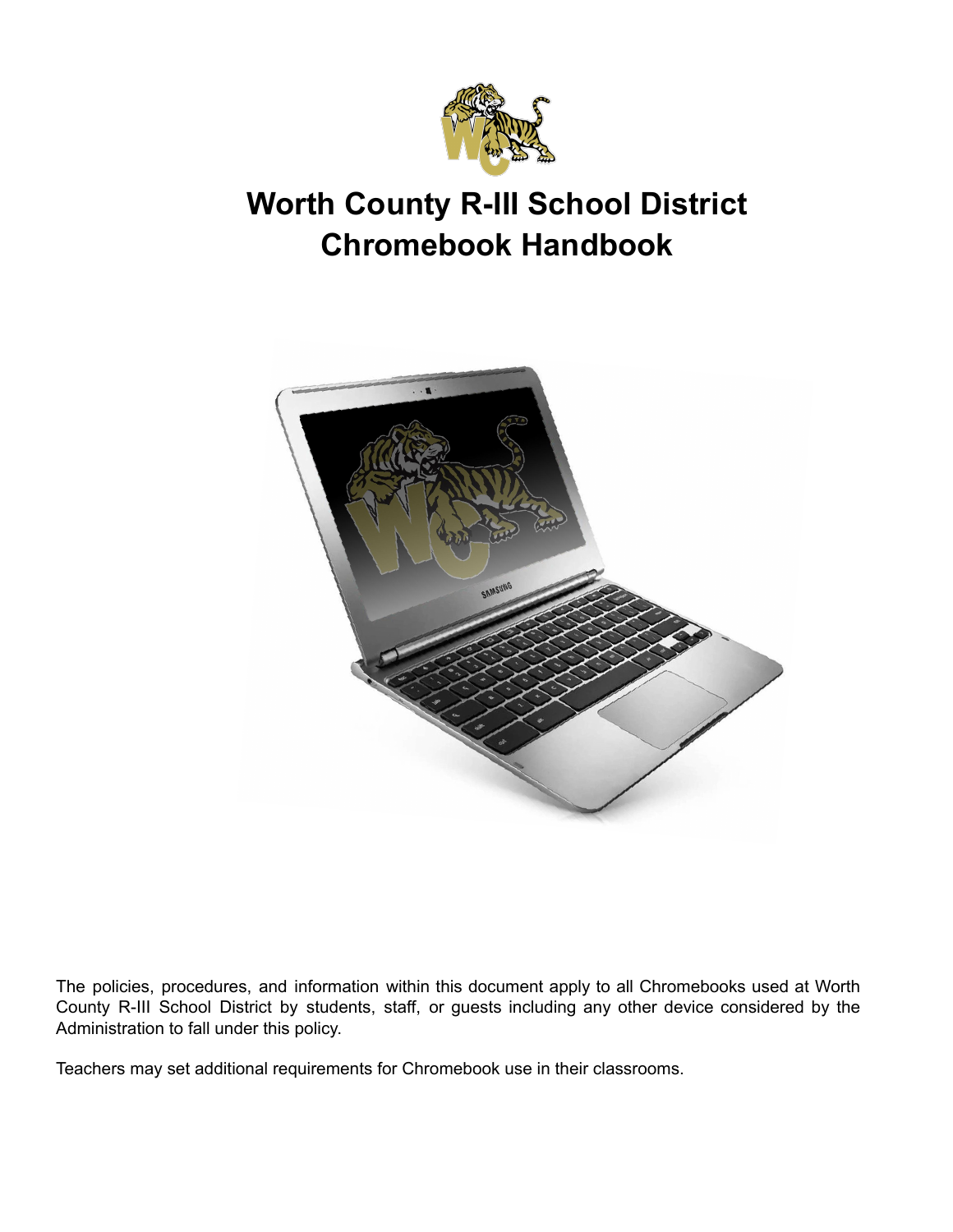

# **Worth County R-III School District Chromebook Handbook**



The policies, procedures, and information within this document apply to all Chromebooks used at Worth County R-III School District by students, staff, or guests including any other device considered by the Administration to fall under this policy.

Teachers may set additional requirements for Chromebook use in their classrooms.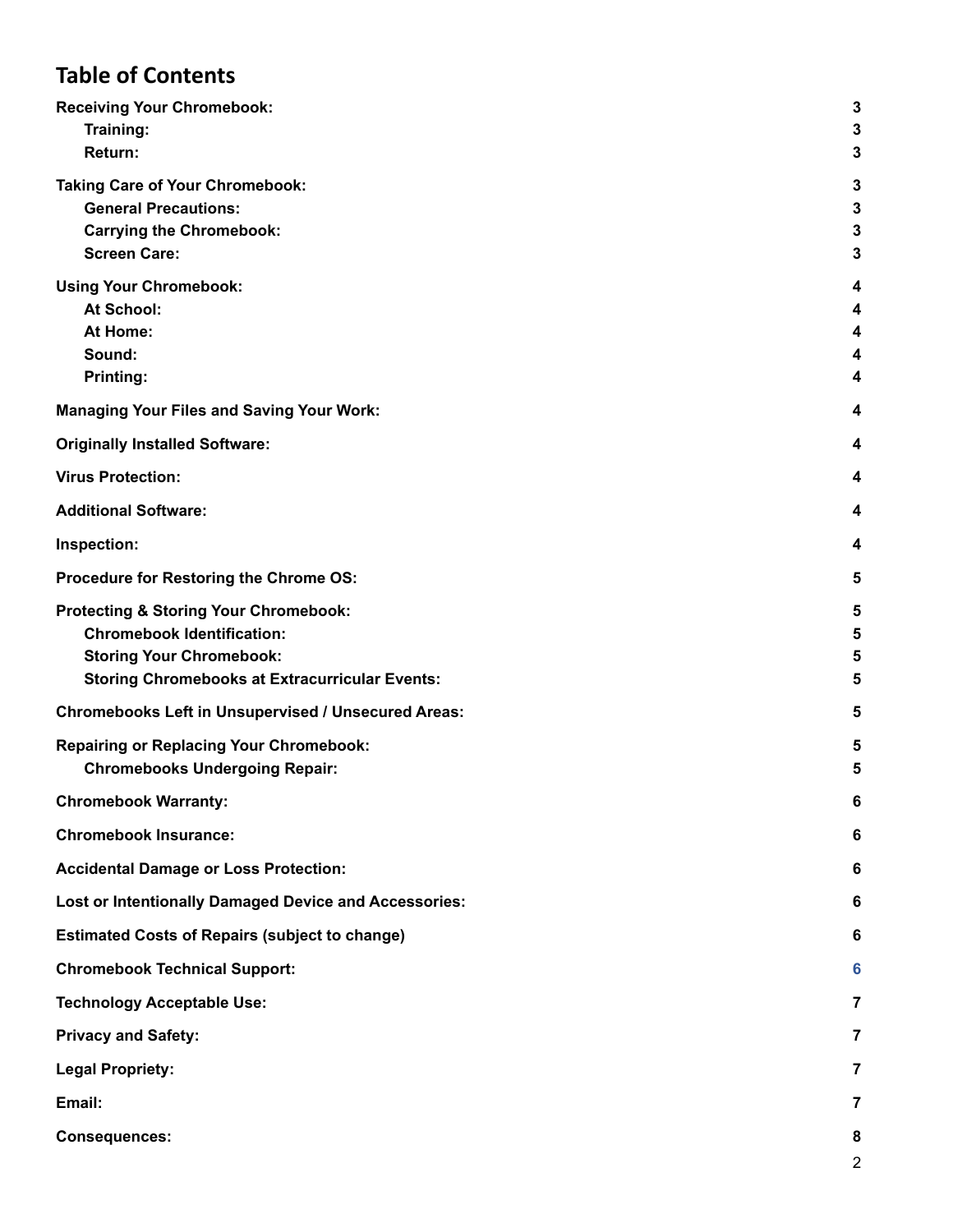# **Table of Contents**

| <b>Receiving Your Chromebook:</b><br>Training:                 | 3<br>$\mathbf{3}$            |
|----------------------------------------------------------------|------------------------------|
| Return:                                                        | $\mathbf{3}$                 |
| <b>Taking Care of Your Chromebook:</b>                         | $\mathbf{3}$                 |
| <b>General Precautions:</b><br><b>Carrying the Chromebook:</b> | $\mathbf{3}$<br>$\mathbf{3}$ |
| <b>Screen Care:</b>                                            | $\mathbf{3}$                 |
| <b>Using Your Chromebook:</b>                                  | 4                            |
| At School:                                                     | 4                            |
| At Home:                                                       | 4                            |
| Sound:                                                         | 4                            |
| Printing:                                                      | 4                            |
| <b>Managing Your Files and Saving Your Work:</b>               | 4                            |
| <b>Originally Installed Software:</b>                          | 4                            |
| <b>Virus Protection:</b>                                       | 4                            |
| <b>Additional Software:</b>                                    | 4                            |
| Inspection:                                                    | 4                            |
| Procedure for Restoring the Chrome OS:                         | 5                            |
| <b>Protecting &amp; Storing Your Chromebook:</b>               | 5                            |
| <b>Chromebook Identification:</b>                              | 5                            |
| <b>Storing Your Chromebook:</b>                                | 5                            |
| <b>Storing Chromebooks at Extracurricular Events:</b>          | 5                            |
| <b>Chromebooks Left in Unsupervised / Unsecured Areas:</b>     | 5                            |
| <b>Repairing or Replacing Your Chromebook:</b>                 | 5                            |
| <b>Chromebooks Undergoing Repair:</b>                          | 5                            |
| <b>Chromebook Warranty:</b>                                    | 6                            |
| <b>Chromebook Insurance:</b>                                   | 6                            |
| <b>Accidental Damage or Loss Protection:</b>                   | 6                            |
| <b>Lost or Intentionally Damaged Device and Accessories:</b>   | 6                            |
| <b>Estimated Costs of Repairs (subject to change)</b>          | 6                            |
| <b>Chromebook Technical Support:</b>                           | 6                            |
| <b>Technology Acceptable Use:</b>                              | 7                            |
| <b>Privacy and Safety:</b>                                     | $\overline{7}$               |
| <b>Legal Propriety:</b>                                        | 7                            |
| Email:                                                         | 7                            |
| <b>Consequences:</b>                                           | 8                            |
|                                                                | $\overline{\mathbf{c}}$      |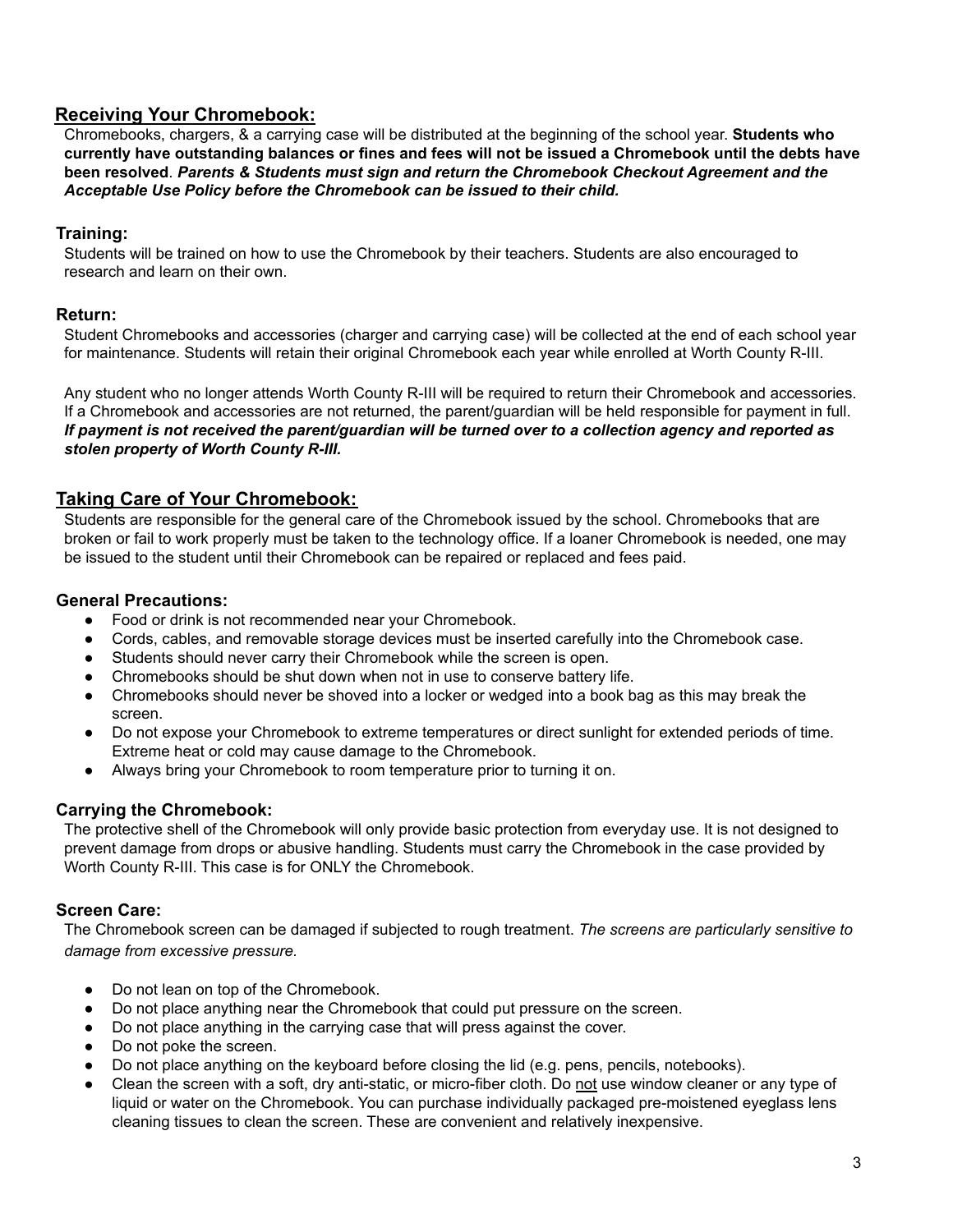# <span id="page-2-0"></span>**Receiving Your Chromebook:**

Chromebooks, chargers, & a carrying case will be distributed at the beginning of the school year. **Students who** currently have outstanding balances or fines and fees will not be issued a Chromebook until the debts have **been resolved**. *Parents & Students must sign and return the Chromebook Checkout Agreement and the Acceptable Use Policy before the Chromebook can be issued to their child.*

#### <span id="page-2-1"></span>**Training:**

Students will be trained on how to use the Chromebook by their teachers. Students are also encouraged to research and learn on their own.

#### <span id="page-2-2"></span>**Return:**

Student Chromebooks and accessories (charger and carrying case) will be collected at the end of each school year for maintenance. Students will retain their original Chromebook each year while enrolled at Worth County R-III.

Any student who no longer attends Worth County R-III will be required to return their Chromebook and accessories. If a Chromebook and accessories are not returned, the parent/guardian will be held responsible for payment in full. If payment is not received the parent/guardian will be turned over to a collection agency and reported as *stolen property of Worth County R-III.*

# <span id="page-2-3"></span>**Taking Care of Your Chromebook:**

Students are responsible for the general care of the Chromebook issued by the school. Chromebooks that are broken or fail to work properly must be taken to the technology office. If a loaner Chromebook is needed, one may be issued to the student until their Chromebook can be repaired or replaced and fees paid.

#### <span id="page-2-4"></span>**General Precautions:**

- Food or drink is not recommended near your Chromebook.
- Cords, cables, and removable storage devices must be inserted carefully into the Chromebook case.
- Students should never carry their Chromebook while the screen is open.
- Chromebooks should be shut down when not in use to conserve battery life.
- Chromebooks should never be shoved into a locker or wedged into a book bag as this may break the screen.
- Do not expose your Chromebook to extreme temperatures or direct sunlight for extended periods of time. Extreme heat or cold may cause damage to the Chromebook.
- Always bring your Chromebook to room temperature prior to turning it on.

#### <span id="page-2-5"></span>**Carrying the Chromebook:**

The protective shell of the Chromebook will only provide basic protection from everyday use. It is not designed to prevent damage from drops or abusive handling. Students must carry the Chromebook in the case provided by Worth County R-III. This case is for ONLY the Chromebook.

#### <span id="page-2-6"></span>**Screen Care:**

The Chromebook screen can be damaged if subjected to rough treatment. *The screens are particularly sensitive to damage from excessive pressure.*

- Do not lean on top of the Chromebook.
- Do not place anything near the Chromebook that could put pressure on the screen.
- Do not place anything in the carrying case that will press against the cover.
- Do not poke the screen.
- Do not place anything on the keyboard before closing the lid (e.g. pens, pencils, notebooks).
- Clean the screen with a soft, dry anti-static, or micro-fiber cloth. Do not use window cleaner or any type of liquid or water on the Chromebook. You can purchase individually packaged pre-moistened eyeglass lens cleaning tissues to clean the screen. These are convenient and relatively inexpensive.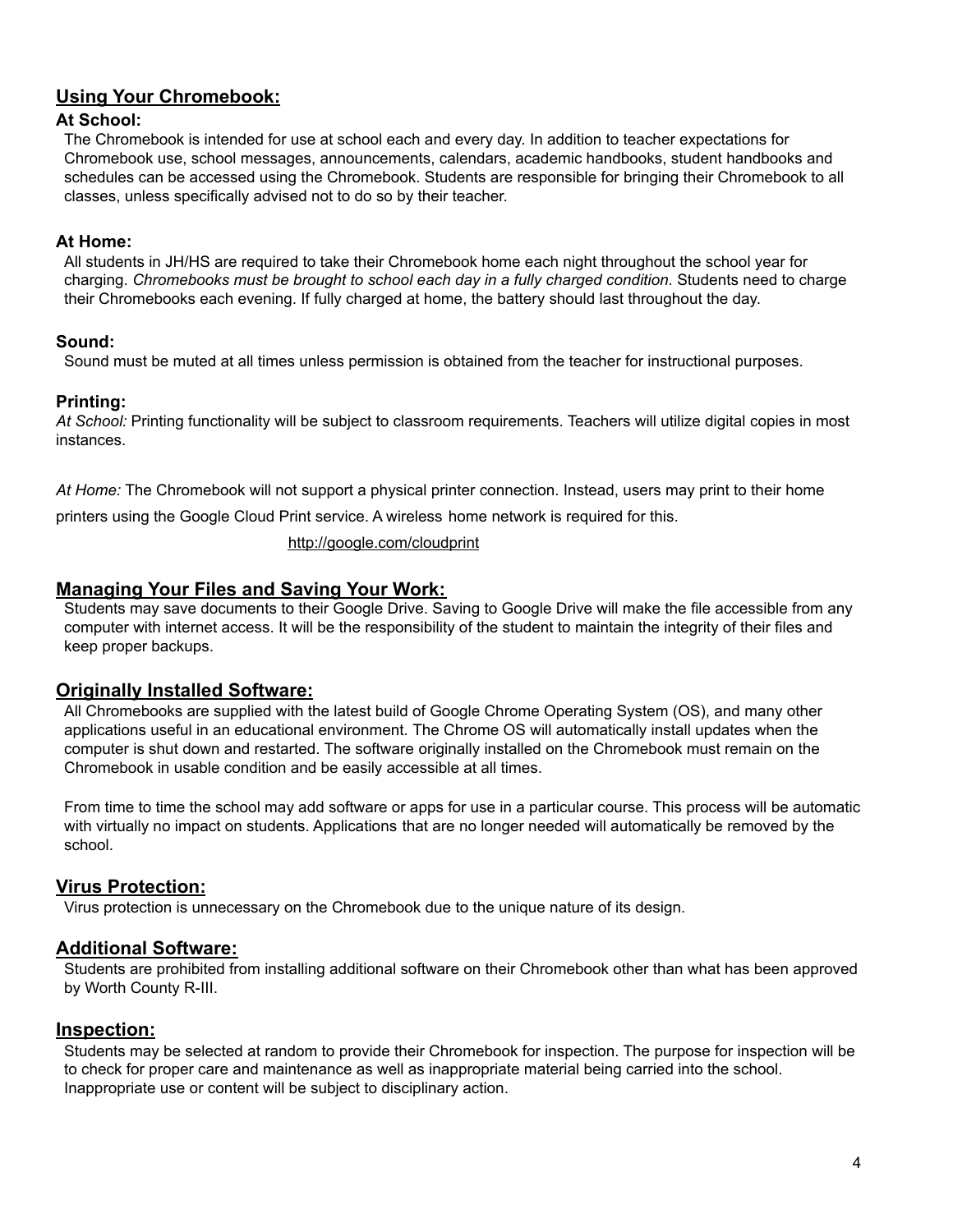# <span id="page-3-0"></span>**Using Your Chromebook:**

#### <span id="page-3-1"></span>**At School:**

The Chromebook is intended for use at school each and every day. In addition to teacher expectations for Chromebook use, school messages, announcements, calendars, academic handbooks, student handbooks and schedules can be accessed using the Chromebook. Students are responsible for bringing their Chromebook to all classes, unless specifically advised not to do so by their teacher.

#### <span id="page-3-2"></span>**At Home:**

All students in JH/HS are required to take their Chromebook home each night throughout the school year for charging. *Chromebooks must be brought to school each day in a fully charged condition.* Students need to charge their Chromebooks each evening. If fully charged at home, the battery should last throughout the day.

#### <span id="page-3-3"></span>**Sound:**

Sound must be muted at all times unless permission is obtained from the teacher for instructional purposes.

#### <span id="page-3-4"></span>**Printing:**

*At School:* Printing functionality will be subject to classroom requirements. Teachers will utilize digital copies in most instances.

*At Home:* The Chromebook will not support a physical printer connection. Instead, users may print to their home printers using the Google Cloud Print service. A wireless home network is required for this.

#### <http://google.com/cloudprint>

#### <span id="page-3-5"></span>**Managing Your Files and Saving Your Work:**

Students may save documents to their Google Drive. Saving to Google Drive will make the file accessible from any computer with internet access. It will be the responsibility of the student to maintain the integrity of their files and keep proper backups.

#### <span id="page-3-6"></span>**Originally Installed Software:**

All Chromebooks are supplied with the latest build of Google Chrome Operating System (OS), and many other applications useful in an educational environment. The Chrome OS will automatically install updates when the computer is shut down and restarted. The software originally installed on the Chromebook must remain on the Chromebook in usable condition and be easily accessible at all times.

From time to time the school may add software or apps for use in a particular course. This process will be automatic with virtually no impact on students. Applications that are no longer needed will automatically be removed by the school.

#### <span id="page-3-7"></span>**Virus Protection:**

Virus protection is unnecessary on the Chromebook due to the unique nature of its design.

#### <span id="page-3-8"></span>**Additional Software:**

Students are prohibited from installing additional software on their Chromebook other than what has been approved by Worth County R-III.

#### <span id="page-3-9"></span>**Inspection:**

Students may be selected at random to provide their Chromebook for inspection. The purpose for inspection will be to check for proper care and maintenance as well as inappropriate material being carried into the school. Inappropriate use or content will be subject to disciplinary action.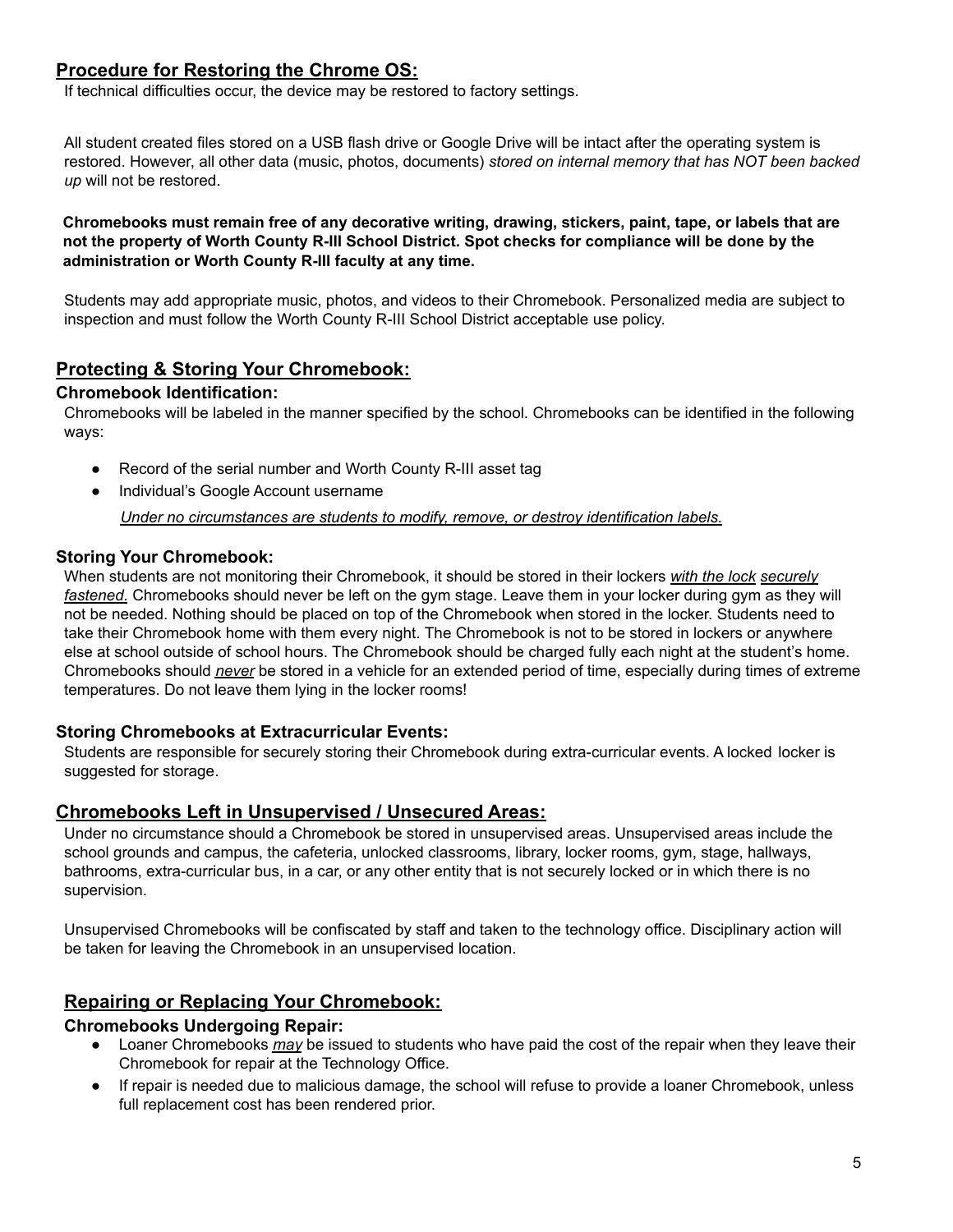# <span id="page-4-0"></span>**Procedure for Restoring the Chrome OS:**

If technical difficulties occur, the device may be restored to factory settings.

All student created files stored on a USB flash drive or Google Drive will be intact after the operating system is restored. However, all other data (music, photos, documents) *stored on internal memory that has NOT been backed up* will not be restored.

**Chromebooks must remain free of any decorative writing, drawing, stickers, paint, tape, or labels that are** not the property of Worth County R-III School District. Spot checks for compliance will be done by the **administration or Worth County R-III faculty at any time.**

Students may add appropriate music, photos, and videos to their Chromebook. Personalized media are subject to inspection and must follow the Worth County R-III School District acceptable use policy.

### <span id="page-4-1"></span>**Protecting & Storing Your Chromebook:**

#### <span id="page-4-2"></span>**Chromebook Identification:**

Chromebooks will be labeled in the manner specified by the school. Chromebooks can be identified in the following ways:

- Record of the serial number and Worth County R-III asset tag
- Individual's Google Account username

*Under no circumstances are students to modify, remove, or destroy identification labels.*

#### <span id="page-4-3"></span>**Storing Your Chromebook:**

When students are not monitoring their Chromebook, it should be stored in their lockers *with the lock securely fastened.* Chromebooks should never be left on the gym stage. Leave them in your locker during gym as they will not be needed. Nothing should be placed on top of the Chromebook when stored in the locker. Students need to take their Chromebook home with them every night. The Chromebook is not to be stored in lockers or anywhere else at school outside of school hours. The Chromebook should be charged fully each night at the student's home. Chromebooks should *never* be stored in a vehicle for an extended period of time, especially during times of extreme temperatures. Do not leave them lying in the locker rooms!

#### <span id="page-4-4"></span>**Storing Chromebooks at Extracurricular Events:**

Students are responsible for securely storing their Chromebook during extra-curricular events. A locked locker is suggested for storage.

#### <span id="page-4-5"></span>**Chromebooks Left in Unsupervised / Unsecured Areas:**

Under no circumstance should a Chromebook be stored in unsupervised areas. Unsupervised areas include the school grounds and campus, the cafeteria, unlocked classrooms, library, locker rooms, gym, stage, hallways, bathrooms, extra-curricular bus, in a car, or any other entity that is not securely locked or in which there is no supervision.

Unsupervised Chromebooks will be confiscated by staff and taken to the technology office. Disciplinary action will be taken for leaving the Chromebook in an unsupervised location.

#### <span id="page-4-6"></span>**Repairing or Replacing Your Chromebook:**

#### <span id="page-4-7"></span>**Chromebooks Undergoing Repair:**

- Loaner Chromebooks *may* be issued to students who have paid the cost of the repair when they leave their Chromebook for repair at the Technology Office.
- If repair is needed due to malicious damage, the school will refuse to provide a loaner Chromebook, unless full replacement cost has been rendered prior.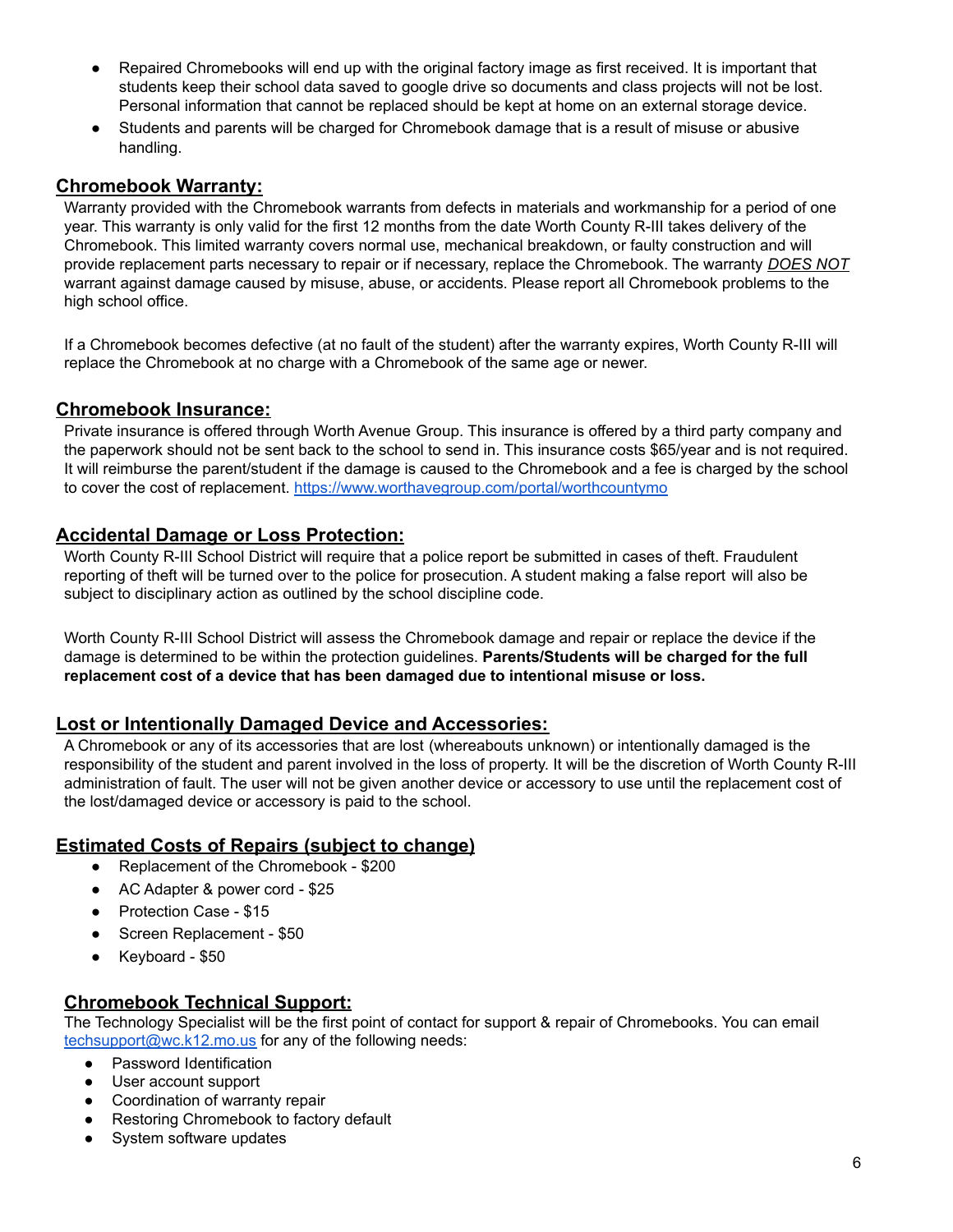- Repaired Chromebooks will end up with the original factory image as first received. It is important that students keep their school data saved to google drive so documents and class projects will not be lost. Personal information that cannot be replaced should be kept at home on an external storage device.
- Students and parents will be charged for Chromebook damage that is a result of misuse or abusive handling.

## <span id="page-5-0"></span>**Chromebook Warranty:**

Warranty provided with the Chromebook warrants from defects in materials and workmanship for a period of one year. This warranty is only valid for the first 12 months from the date Worth County R-III takes delivery of the Chromebook. This limited warranty covers normal use, mechanical breakdown, or faulty construction and will provide replacement parts necessary to repair or if necessary, replace the Chromebook. The warranty *DOES NOT* warrant against damage caused by misuse, abuse, or accidents. Please report all Chromebook problems to the high school office.

If a Chromebook becomes defective (at no fault of the student) after the warranty expires, Worth County R-III will replace the Chromebook at no charge with a Chromebook of the same age or newer.

#### <span id="page-5-1"></span>**Chromebook Insurance:**

Private insurance is offered through Worth Avenue Group. This insurance is offered by a third party company and the paperwork should not be sent back to the school to send in. This insurance costs \$65/year and is not required. It will reimburse the parent/student if the damage is caused to the Chromebook and a fee is charged by the school to cover the cost of replacement. <https://www.worthavegroup.com/portal/worthcountymo>

### <span id="page-5-2"></span>**Accidental Damage or Loss Protection:**

Worth County R-III School District will require that a police report be submitted in cases of theft. Fraudulent reporting of theft will be turned over to the police for prosecution. A student making a false report will also be subject to disciplinary action as outlined by the school discipline code.

Worth County R-III School District will assess the Chromebook damage and repair or replace the device if the damage is determined to be within the protection guidelines. **Parents/Students will be charged for the full replacement cost of a device that has been damaged due to intentional misuse or loss.**

# <span id="page-5-3"></span>**Lost or Intentionally Damaged Device and Accessories:**

A Chromebook or any of its accessories that are lost (whereabouts unknown) or intentionally damaged is the responsibility of the student and parent involved in the loss of property. It will be the discretion of Worth County R-III administration of fault. The user will not be given another device or accessory to use until the replacement cost of the lost/damaged device or accessory is paid to the school.

# <span id="page-5-4"></span>**Estimated Costs of Repairs (subject to change)**

- Replacement of the Chromebook \$200
- AC Adapter & power cord \$25
- Protection Case \$15
- Screen Replacement \$50
- Keyboard \$50

#### <span id="page-5-5"></span>**Chromebook Technical Support:**

The Technology Specialist will be the first point of contact for support & repair of Chromebooks. You can email [techsupport@wc.k12.mo.us](mailto:techsupport@wc.k12.mo.us) for any of the following needs:

- Password Identification
- User account support
- Coordination of warranty repair
- Restoring Chromebook to factory default
- System software updates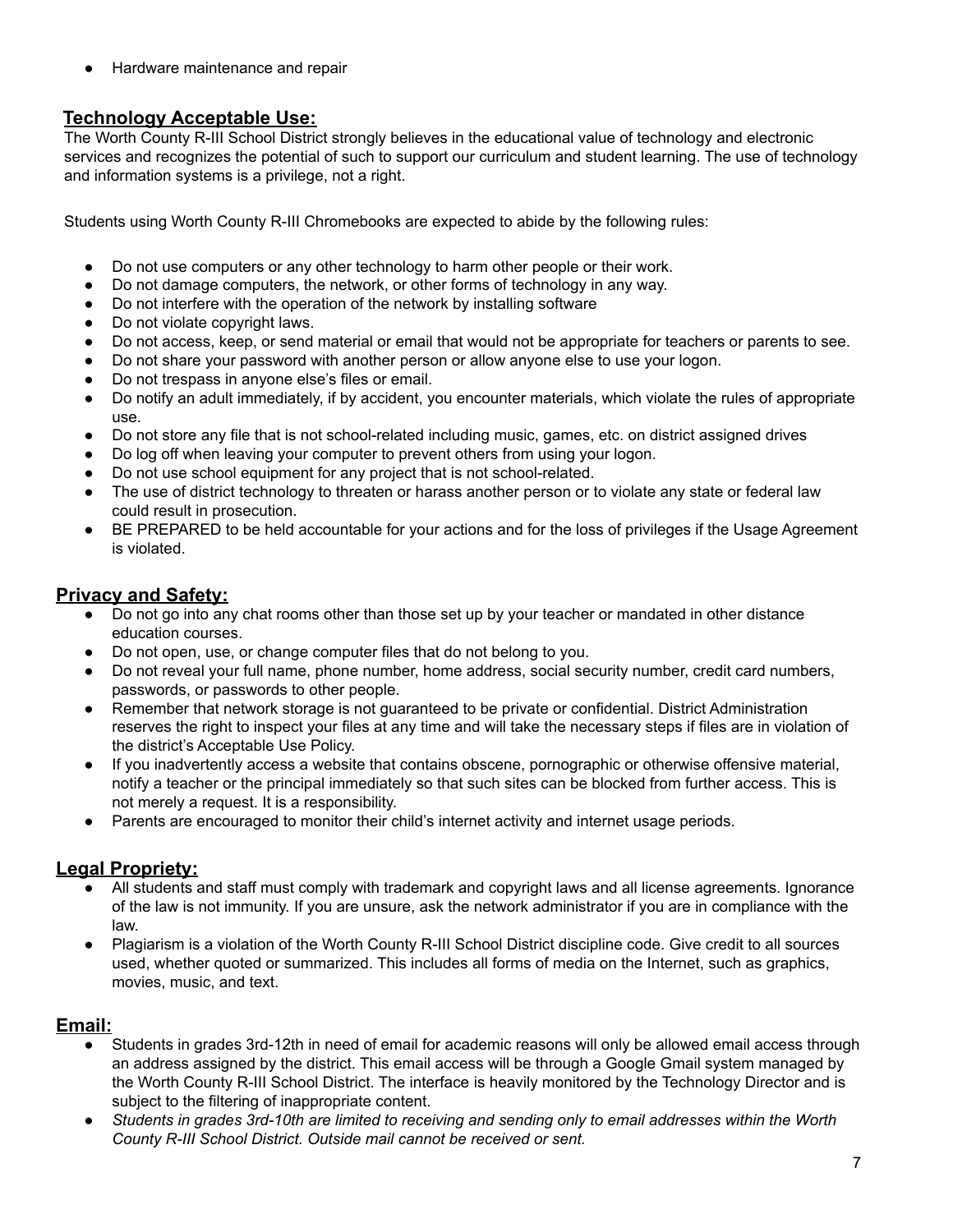Hardware maintenance and repair

# <span id="page-6-0"></span>**Technology Acceptable Use:**

The Worth County R-III School District strongly believes in the educational value of technology and electronic services and recognizes the potential of such to support our curriculum and student learning. The use of technology and information systems is a privilege, not a right.

Students using Worth County R-III Chromebooks are expected to abide by the following rules:

- Do not use computers or any other technology to harm other people or their work.
- Do not damage computers, the network, or other forms of technology in any way.
- Do not interfere with the operation of the network by installing software
- Do not violate copyright laws.
- Do not access, keep, or send material or email that would not be appropriate for teachers or parents to see.
- Do not share your password with another person or allow anyone else to use your logon.
- Do not trespass in anyone else's files or email.
- Do notify an adult immediately, if by accident, you encounter materials, which violate the rules of appropriate use.
- Do not store any file that is not school-related including music, games, etc. on district assigned drives
- Do log off when leaving your computer to prevent others from using your logon.
- Do not use school equipment for any project that is not school-related.
- The use of district technology to threaten or harass another person or to violate any state or federal law could result in prosecution.
- BE PREPARED to be held accountable for your actions and for the loss of privileges if the Usage Agreement is violated.

# <span id="page-6-1"></span>**Privacy and Safety:**

- Do not go into any chat rooms other than those set up by your teacher or mandated in other distance education courses.
- Do not open, use, or change computer files that do not belong to you.
- Do not reveal your full name, phone number, home address, social security number, credit card numbers, passwords, or passwords to other people.
- Remember that network storage is not guaranteed to be private or confidential. District Administration reserves the right to inspect your files at any time and will take the necessary steps if files are in violation of the district's Acceptable Use Policy.
- If you inadvertently access a website that contains obscene, pornographic or otherwise offensive material, notify a teacher or the principal immediately so that such sites can be blocked from further access. This is not merely a request. It is a responsibility.
- Parents are encouraged to monitor their child's internet activity and internet usage periods.

# <span id="page-6-2"></span>**Legal Propriety:**

- All students and staff must comply with trademark and copyright laws and all license agreements. Ignorance of the law is not immunity. If you are unsure, ask the network administrator if you are in compliance with the law.
- Plagiarism is a violation of the Worth County R-III School District discipline code. Give credit to all sources used, whether quoted or summarized. This includes all forms of media on the Internet, such as graphics, movies, music, and text.

#### <span id="page-6-3"></span>**Email:**

- Students in grades 3rd-12th in need of email for academic reasons will only be allowed email access through an address assigned by the district. This email access will be through a Google Gmail system managed by the Worth County R-III School District. The interface is heavily monitored by the Technology Director and is subject to the filtering of inappropriate content.
- Students in grades 3rd-10th are limited to receiving and sending only to email addresses within the Worth *County R-III School District. Outside mail cannot be received or sent.*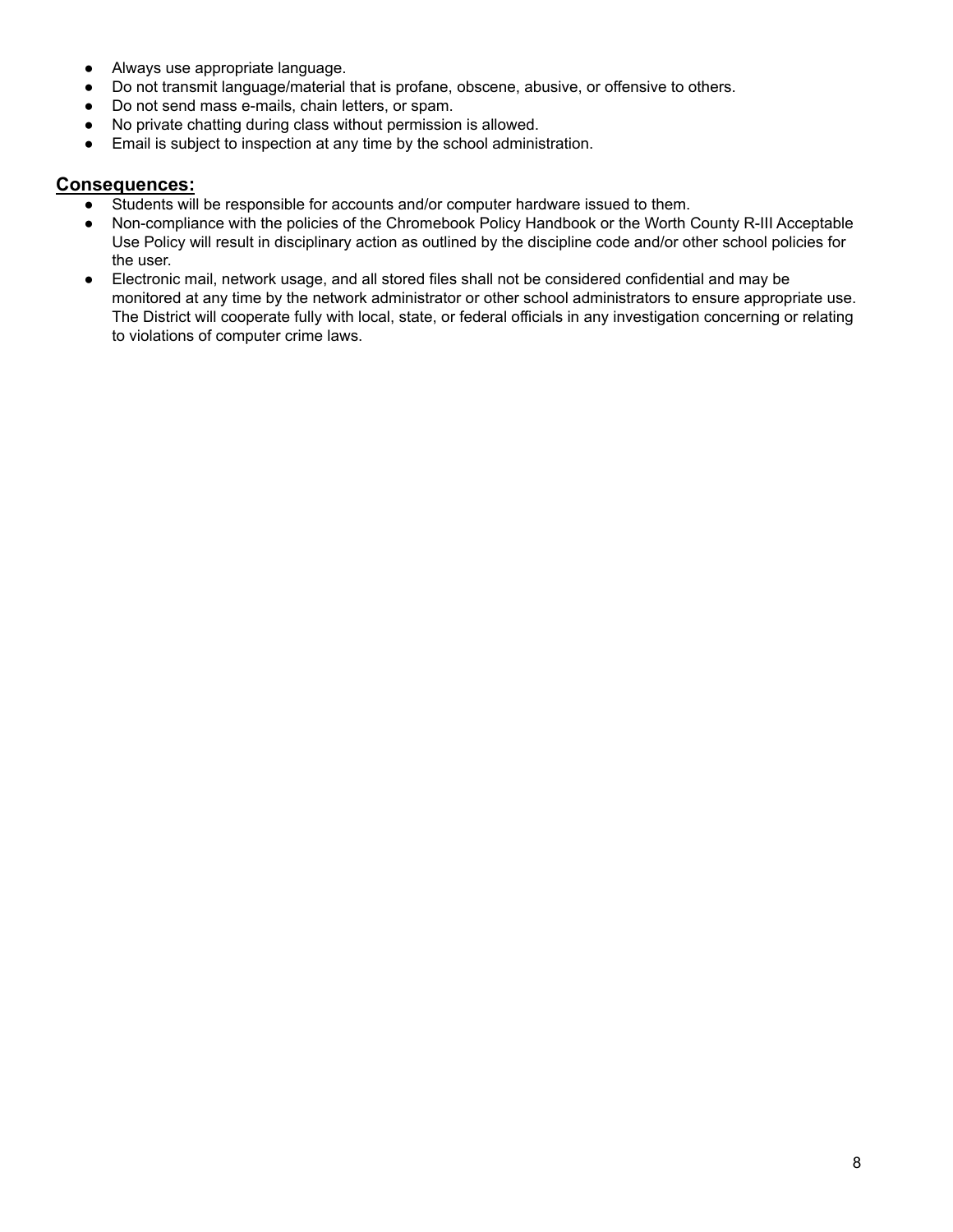- Always use appropriate language.
- Do not transmit language/material that is profane, obscene, abusive, or offensive to others.
- Do not send mass e-mails, chain letters, or spam.
- No private chatting during class without permission is allowed.
- Email is subject to inspection at any time by the school administration.

#### <span id="page-7-0"></span>**Consequences:**

- Students will be responsible for accounts and/or computer hardware issued to them.
- Non-compliance with the policies of the Chromebook Policy Handbook or the Worth County R-III Acceptable Use Policy will result in disciplinary action as outlined by the discipline code and/or other school policies for the user.
- Electronic mail, network usage, and all stored files shall not be considered confidential and may be monitored at any time by the network administrator or other school administrators to ensure appropriate use. The District will cooperate fully with local, state, or federal officials in any investigation concerning or relating to violations of computer crime laws.